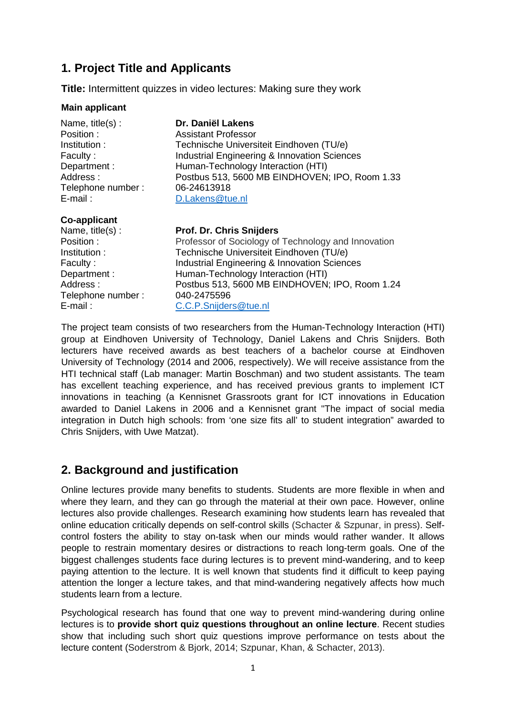# **1. Project Title and Applicants**

**Title:** Intermittent quizzes in video lectures: Making sure they work

#### **Main applicant**

| Name, title(s):<br>Position:<br>Institution:<br>Faculty:<br>Department:<br>Address:<br>Telephone number: | Dr. Daniël Lakens<br><b>Assistant Professor</b><br>Technische Universiteit Eindhoven (TU/e)<br>Industrial Engineering & Innovation Sciences<br>Human-Technology Interaction (HTI)<br>Postbus 513, 5600 MB EINDHOVEN; IPO, Room 1.33<br>06-24613918 |
|----------------------------------------------------------------------------------------------------------|----------------------------------------------------------------------------------------------------------------------------------------------------------------------------------------------------------------------------------------------------|
| E-mail :                                                                                                 | D.Lakens@tue.nl                                                                                                                                                                                                                                    |
| <b>Co-applicant</b><br>Nama titla(c) ·                                                                   | <b>Prof. Dr. Chris Snijdars</b>                                                                                                                                                                                                                    |

Name, title(s) : Position : Professor of Sociology of Technology and Innovation Institution : Technische Universiteit Eindhoven (TU/e) Faculty : Industrial Engineering & Innovation Sciences Department : Human-Technology Interaction (HTI) Address : Postbus 513, 5600 MB EINDHOVEN; IPO, Room 1.24 Telephone number : 040-2475596 E-mail: C.C.P.Snijders@tue.nl

The project team consists of two researchers from the Human-Technology Interaction (HTI) group at Eindhoven University of Technology, Daniel Lakens and Chris Snijders. Both lecturers have received awards as best teachers of a bachelor course at Eindhoven University of Technology (2014 and 2006, respectively). We will receive assistance from the HTI technical staff (Lab manager: Martin Boschman) and two student assistants. The team has excellent teaching experience, and has received previous grants to implement ICT innovations in teaching (a Kennisnet Grassroots grant for ICT innovations in Education awarded to Daniel Lakens in 2006 and a Kennisnet grant "The impact of social media integration in Dutch high schools: from 'one size fits all' to student integration" awarded to Chris Snijders, with Uwe Matzat).

### **2. Background and justification**

Online lectures provide many benefits to students. Students are more flexible in when and where they learn, and they can go through the material at their own pace. However, online lectures also provide challenges. Research examining how students learn has revealed that online education critically depends on self-control skills (Schacter & Szpunar, in press). Selfcontrol fosters the ability to stay on-task when our minds would rather wander. It allows people to restrain momentary desires or distractions to reach long-term goals. One of the biggest challenges students face during lectures is to prevent mind-wandering, and to keep paying attention to the lecture. It is well known that students find it difficult to keep paying attention the longer a lecture takes, and that mind-wandering negatively affects how much students learn from a lecture.

Psychological research has found that one way to prevent mind-wandering during online lectures is to **provide short quiz questions throughout an online lecture**. Recent studies show that including such short quiz questions improve performance on tests about the lecture content (Soderstrom & Bjork, 2014; Szpunar, Khan, & Schacter, 2013).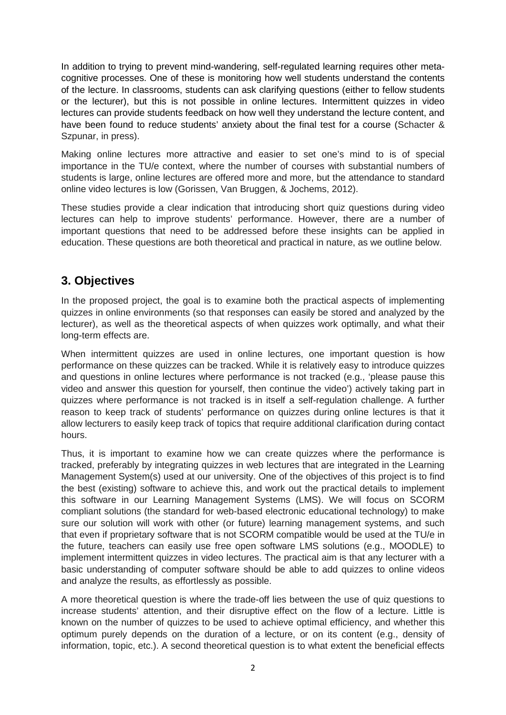In addition to trying to prevent mind-wandering, self-regulated learning requires other metacognitive processes. One of these is monitoring how well students understand the contents of the lecture. In classrooms, students can ask clarifying questions (either to fellow students or the lecturer), but this is not possible in online lectures. Intermittent quizzes in video lectures can provide students feedback on how well they understand the lecture content, and have been found to reduce students' anxiety about the final test for a course (Schacter & Szpunar, in press).

Making online lectures more attractive and easier to set one's mind to is of special importance in the TU/e context, where the number of courses with substantial numbers of students is large, online lectures are offered more and more, but the attendance to standard online video lectures is low (Gorissen, Van Bruggen, & Jochems, 2012).

These studies provide a clear indication that introducing short quiz questions during video lectures can help to improve students' performance. However, there are a number of important questions that need to be addressed before these insights can be applied in education. These questions are both theoretical and practical in nature, as we outline below.

## **3. Objectives**

In the proposed project, the goal is to examine both the practical aspects of implementing quizzes in online environments (so that responses can easily be stored and analyzed by the lecturer), as well as the theoretical aspects of when quizzes work optimally, and what their long-term effects are.

When intermittent quizzes are used in online lectures, one important question is how performance on these quizzes can be tracked. While it is relatively easy to introduce quizzes and questions in online lectures where performance is not tracked (e.g., 'please pause this video and answer this question for yourself, then continue the video') actively taking part in quizzes where performance is not tracked is in itself a self-regulation challenge. A further reason to keep track of students' performance on quizzes during online lectures is that it allow lecturers to easily keep track of topics that require additional clarification during contact hours.

Thus, it is important to examine how we can create quizzes where the performance is tracked, preferably by integrating quizzes in web lectures that are integrated in the Learning Management System(s) used at our university. One of the objectives of this project is to find the best (existing) software to achieve this, and work out the practical details to implement this software in our Learning Management Systems (LMS). We will focus on SCORM compliant solutions (the standard for web-based electronic educational technology) to make sure our solution will work with other (or future) learning management systems, and such that even if proprietary software that is not SCORM compatible would be used at the TU/e in the future, teachers can easily use free open software LMS solutions (e.g., MOODLE) to implement intermittent quizzes in video lectures. The practical aim is that any lecturer with a basic understanding of computer software should be able to add quizzes to online videos and analyze the results, as effortlessly as possible.

A more theoretical question is where the trade-off lies between the use of quiz questions to increase students' attention, and their disruptive effect on the flow of a lecture. Little is known on the number of quizzes to be used to achieve optimal efficiency, and whether this optimum purely depends on the duration of a lecture, or on its content (e.g., density of information, topic, etc.). A second theoretical question is to what extent the beneficial effects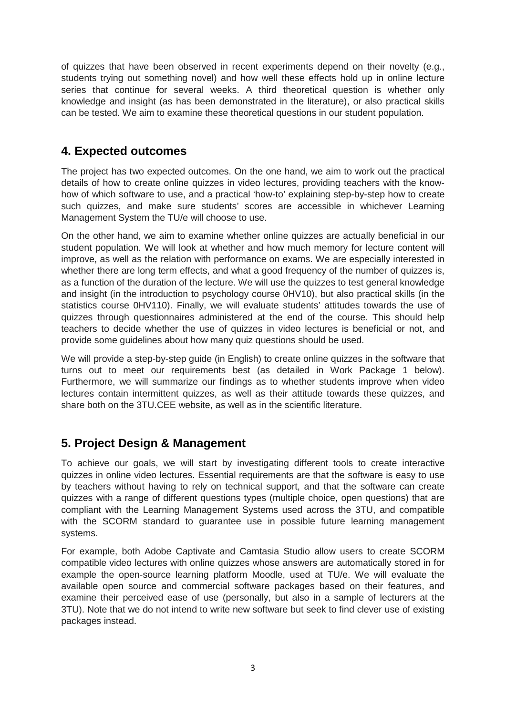of quizzes that have been observed in recent experiments depend on their novelty (e.g., students trying out something novel) and how well these effects hold up in online lecture series that continue for several weeks. A third theoretical question is whether only knowledge and insight (as has been demonstrated in the literature), or also practical skills can be tested. We aim to examine these theoretical questions in our student population.

#### **4. Expected outcomes**

The project has two expected outcomes. On the one hand, we aim to work out the practical details of how to create online quizzes in video lectures, providing teachers with the knowhow of which software to use, and a practical 'how-to' explaining step-by-step how to create such quizzes, and make sure students' scores are accessible in whichever Learning Management System the TU/e will choose to use.

On the other hand, we aim to examine whether online quizzes are actually beneficial in our student population. We will look at whether and how much memory for lecture content will improve, as well as the relation with performance on exams. We are especially interested in whether there are long term effects, and what a good frequency of the number of quizzes is, as a function of the duration of the lecture. We will use the quizzes to test general knowledge and insight (in the introduction to psychology course 0HV10), but also practical skills (in the statistics course 0HV110). Finally, we will evaluate students' attitudes towards the use of quizzes through questionnaires administered at the end of the course. This should help teachers to decide whether the use of quizzes in video lectures is beneficial or not, and provide some guidelines about how many quiz questions should be used.

We will provide a step-by-step guide (in English) to create online quizzes in the software that turns out to meet our requirements best (as detailed in Work Package 1 below). Furthermore, we will summarize our findings as to whether students improve when video lectures contain intermittent quizzes, as well as their attitude towards these quizzes, and share both on the 3TU.CEE website, as well as in the scientific literature.

### **5. Project Design & Management**

To achieve our goals, we will start by investigating different tools to create interactive quizzes in online video lectures. Essential requirements are that the software is easy to use by teachers without having to rely on technical support, and that the software can create quizzes with a range of different questions types (multiple choice, open questions) that are compliant with the Learning Management Systems used across the 3TU, and compatible with the SCORM standard to guarantee use in possible future learning management systems.

For example, both Adobe Captivate and Camtasia Studio allow users to create SCORM compatible video lectures with online quizzes whose answers are automatically stored in for example the open-source learning platform Moodle, used at TU/e. We will evaluate the available open source and commercial software packages based on their features, and examine their perceived ease of use (personally, but also in a sample of lecturers at the 3TU). Note that we do not intend to write new software but seek to find clever use of existing packages instead.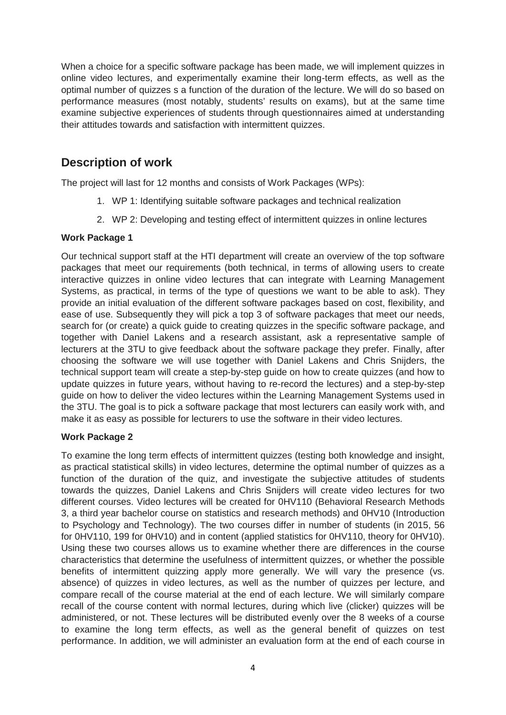When a choice for a specific software package has been made, we will implement quizzes in online video lectures, and experimentally examine their long-term effects, as well as the optimal number of quizzes s a function of the duration of the lecture. We will do so based on performance measures (most notably, students' results on exams), but at the same time examine subjective experiences of students through questionnaires aimed at understanding their attitudes towards and satisfaction with intermittent quizzes.

### **Description of work**

The project will last for 12 months and consists of Work Packages (WPs):

- 1. WP 1: Identifying suitable software packages and technical realization
- 2. WP 2: Developing and testing effect of intermittent quizzes in online lectures

#### **Work Package 1**

Our technical support staff at the HTI department will create an overview of the top software packages that meet our requirements (both technical, in terms of allowing users to create interactive quizzes in online video lectures that can integrate with Learning Management Systems, as practical, in terms of the type of questions we want to be able to ask). They provide an initial evaluation of the different software packages based on cost, flexibility, and ease of use. Subsequently they will pick a top 3 of software packages that meet our needs, search for (or create) a quick guide to creating quizzes in the specific software package, and together with Daniel Lakens and a research assistant, ask a representative sample of lecturers at the 3TU to give feedback about the software package they prefer. Finally, after choosing the software we will use together with Daniel Lakens and Chris Snijders, the technical support team will create a step-by-step guide on how to create quizzes (and how to update quizzes in future years, without having to re-record the lectures) and a step-by-step guide on how to deliver the video lectures within the Learning Management Systems used in the 3TU. The goal is to pick a software package that most lecturers can easily work with, and make it as easy as possible for lecturers to use the software in their video lectures.

#### **Work Package 2**

To examine the long term effects of intermittent quizzes (testing both knowledge and insight, as practical statistical skills) in video lectures, determine the optimal number of quizzes as a function of the duration of the quiz, and investigate the subjective attitudes of students towards the quizzes, Daniel Lakens and Chris Snijders will create video lectures for two different courses. Video lectures will be created for 0HV110 (Behavioral Research Methods 3, a third year bachelor course on statistics and research methods) and 0HV10 (Introduction to Psychology and Technology). The two courses differ in number of students (in 2015, 56 for 0HV110, 199 for 0HV10) and in content (applied statistics for 0HV110, theory for 0HV10). Using these two courses allows us to examine whether there are differences in the course characteristics that determine the usefulness of intermittent quizzes, or whether the possible benefits of intermittent quizzing apply more generally. We will vary the presence (vs. absence) of quizzes in video lectures, as well as the number of quizzes per lecture, and compare recall of the course material at the end of each lecture. We will similarly compare recall of the course content with normal lectures, during which live (clicker) quizzes will be administered, or not. These lectures will be distributed evenly over the 8 weeks of a course to examine the long term effects, as well as the general benefit of quizzes on test performance. In addition, we will administer an evaluation form at the end of each course in